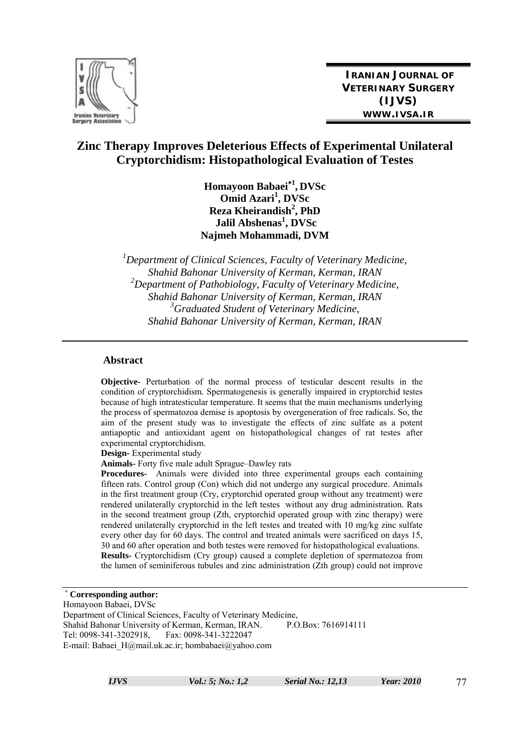

**IRANIAN JOURNAL OF VETERINARY SURGERY (IJVS) WWW.IVSA.IR**

# **Zinc Therapy Improves Deleterious Effects of Experimental Unilateral Cryptorchidism: Histopathological Evaluation of Testes**

**Homayoon Babaei**<sup>∗</sup>**<sup>1</sup> , DVSc Omid Azari<sup>1</sup> , DVSc Reza Kheirandish<sup>2</sup>, PhD**  $Jalil$  Abshenas<sup>1</sup>, DVSc **Najmeh Mohammadi, DVM** 

*1 Department of Clinical Sciences, Faculty of Veterinary Medicine, Shahid Bahonar University of Kerman, Kerman, IRAN 2 Department of Pathobiology, Faculty of Veterinary Medicine, Shahid Bahonar University of Kerman, Kerman, IRAN 3 Graduated Student of Veterinary Medicine, Shahid Bahonar University of Kerman, Kerman, IRAN* 

#### **Abstract**

**Objective-** Perturbation of the normal process of testicular descent results in the condition of cryptorchidism. Spermatogenesis is generally impaired in cryptorchid testes because of high intratesticular temperature. It seems that the main mechanisms underlying the process of spermatozoa demise is apoptosis by overgeneration of free radicals. So, the aim of the present study was to investigate the effects of zinc sulfate as a potent antiapoptic and antioxidant agent on histopathological changes of rat testes after experimental cryptorchidism.

**Design-** Experimental study

**Animals-** Forty five male adult Sprague–Dawley rats

**Procedures-** Animals were divided into three experimental groups each containing fifteen rats. Control group (Con) which did not undergo any surgical procedure. Animals in the first treatment group (Cry, cryptorchid operated group without any treatment) were rendered unilaterally cryptorchid in the left testes without any drug administration. Rats in the second treatment group (Zth, cryptorchid operated group with zinc therapy) were rendered unilaterally cryptorchid in the left testes and treated with 10 mg/kg zinc sulfate every other day for 60 days. The control and treated animals were sacrificed on days 15, 30 and 60 after operation and both testes were removed for histopathological evaluations. **Results-** Cryptorchidism (Cry group) caused a complete depletion of spermatozoa from the lumen of seminiferous tubules and zinc administration (Zth group) could not improve

<sup>∗</sup> **Corresponding author:**  Homayoon Babaei, DVSc Department of Clinical Sciences, Faculty of Veterinary Medicine, Shahid Bahonar University of Kerman, Kerman, IRAN. P.O.Box: 7616914111 Tel: 0098-341-3202918, Fax: 0098-341-3222047 E-mail: Babaei\_H@mail.uk.ac.ir; hombabaei@yahoo.com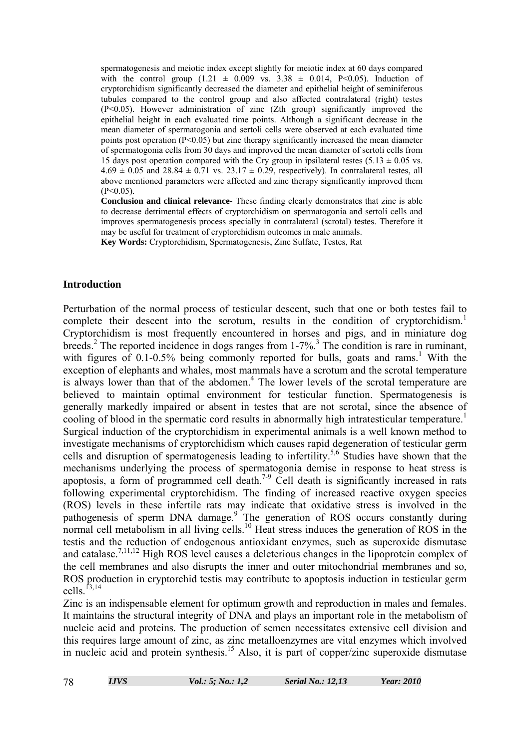spermatogenesis and meiotic index except slightly for meiotic index at 60 days compared with the control group  $(1.21 \pm 0.009 \text{ vs. } 3.38 \pm 0.014, \text{ P} < 0.05)$ . Induction of cryptorchidism significantly decreased the diameter and epithelial height of seminiferous tubules compared to the control group and also affected contralateral (right) testes (P<0.05). However administration of zinc (Zth group) significantly improved the epithelial height in each evaluated time points. Although a significant decrease in the mean diameter of spermatogonia and sertoli cells were observed at each evaluated time points post operation  $(P<0.05)$  but zinc therapy significantly increased the mean diameter of spermatogonia cells from 30 days and improved the mean diameter of sertoli cells from 15 days post operation compared with the Cry group in ipsilateral testes  $(5.13 \pm 0.05 \text{ vs.})$  $4.69 \pm 0.05$  and  $28.84 \pm 0.71$  vs.  $23.17 \pm 0.29$ , respectively). In contralateral testes, all above mentioned parameters were affected and zinc therapy significantly improved them  $(P<0.05)$ .

**Conclusion and clinical relevance-** These finding clearly demonstrates that zinc is able to decrease detrimental effects of cryptorchidism on spermatogonia and sertoli cells and improves spermatogenesis process specially in contralateral (scrotal) testes. Therefore it may be useful for treatment of cryptorchidism outcomes in male animals. **Key Words:** Cryptorchidism, Spermatogenesis, Zinc Sulfate, Testes, Rat

## **Introduction**

Perturbation of the normal process of testicular descent, such that one or both testes fail to complete their descent into the scrotum, results in the condition of cryptorchidism.<sup>1</sup> Cryptorchidism is most frequently encountered in horses and pigs, and in miniature dog breeds.<sup>2</sup> The reported incidence in dogs ranges from 1-7%.<sup>3</sup> The condition is rare in ruminant, with figures of  $0.1$ - $0.5\%$  being commonly reported for bulls, goats and rams.<sup>1</sup> With the exception of elephants and whales, most mammals have a scrotum and the scrotal temperature is always lower than that of the abdomen.<sup>4</sup> The lower levels of the scrotal temperature are believed to maintain optimal environment for testicular function. Spermatogenesis is generally markedly impaired or absent in testes that are not scrotal, since the absence of cooling of blood in the spermatic cord results in abnormally high intratesticular temperature.<sup>1</sup> Surgical induction of the cryptorchidism in experimental animals is a well known method to investigate mechanisms of cryptorchidism which causes rapid degeneration of testicular germ cells and disruption of spermatogenesis leading to infertility.<sup>5,6</sup> Studies have shown that the mechanisms underlying the process of spermatogonia demise in response to heat stress is apoptosis, a form of programmed cell death.<sup>7-9</sup> Cell death is significantly increased in rats following experimental cryptorchidism. The finding of increased reactive oxygen species (ROS) levels in these infertile rats may indicate that oxidative stress is involved in the pathogenesis of sperm DNA damage.<sup>9</sup> The generation of ROS occurs constantly during normal cell metabolism in all living cells.<sup>10</sup> Heat stress induces the generation of ROS in the testis and the reduction of endogenous antioxidant enzymes, such as superoxide dismutase and catalase.<sup>7,11,12</sup> High ROS level causes a deleterious changes in the lipoprotein complex of the cell membranes and also disrupts the inner and outer mitochondrial membranes and so, ROS production in cryptorchid testis may contribute to apoptosis induction in testicular germ cells  $^{13,14}$ 

Zinc is an indispensable element for optimum growth and reproduction in males and females. It maintains the structural integrity of DNA and plays an important role in the metabolism of nucleic acid and proteins. The production of semen necessitates extensive cell division and this requires large amount of zinc, as zinc metalloenzymes are vital enzymes which involved in nucleic acid and protein synthesis.15 Also, it is part of copper/zinc superoxide dismutase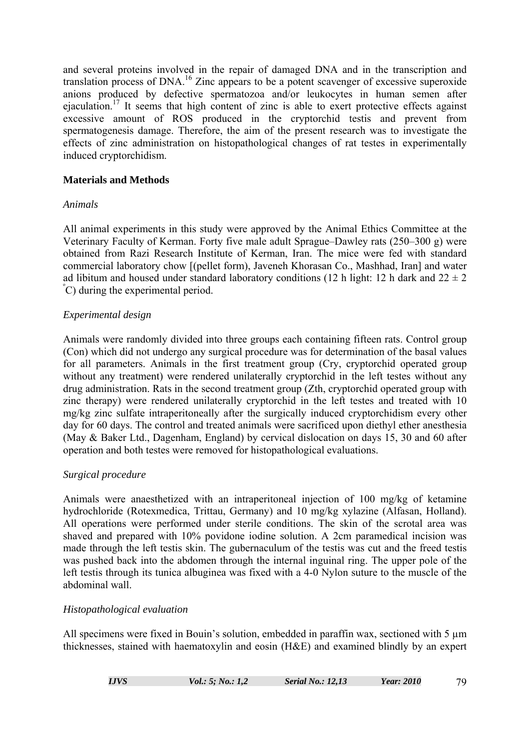and several proteins involved in the repair of damaged DNA and in the transcription and translation process of DNA.16 Zinc appears to be a potent scavenger of excessive superoxide anions produced by defective spermatozoa and/or leukocytes in human semen after ejaculation.17 It seems that high content of zinc is able to exert protective effects against excessive amount of ROS produced in the cryptorchid testis and prevent from spermatogenesis damage. Therefore, the aim of the present research was to investigate the effects of zinc administration on histopathological changes of rat testes in experimentally induced cryptorchidism.

## **Materials and Methods**

## *Animals*

All animal experiments in this study were approved by the Animal Ethics Committee at the Veterinary Faculty of Kerman. Forty five male adult Sprague–Dawley rats (250–300 g) were obtained from Razi Research Institute of Kerman, Iran. The mice were fed with standard commercial laboratory chow [(pellet form), Javeneh Khorasan Co., Mashhad, Iran] and water ad libitum and housed under standard laboratory conditions (12 h light: 12 h dark and  $22 \pm 2$ ) º C) during the experimental period.

## *Experimental design*

Animals were randomly divided into three groups each containing fifteen rats. Control group (Con) which did not undergo any surgical procedure was for determination of the basal values for all parameters. Animals in the first treatment group (Cry, cryptorchid operated group without any treatment) were rendered unilaterally cryptorchid in the left testes without any drug administration. Rats in the second treatment group (Zth, cryptorchid operated group with zinc therapy) were rendered unilaterally cryptorchid in the left testes and treated with 10 mg/kg zinc sulfate intraperitoneally after the surgically induced cryptorchidism every other day for 60 days. The control and treated animals were sacrificed upon diethyl ether anesthesia (May & Baker Ltd., Dagenham, England) by cervical dislocation on days 15, 30 and 60 after operation and both testes were removed for histopathological evaluations.

# *Surgical procedure*

Animals were anaesthetized with an intraperitoneal injection of 100 mg/kg of ketamine hydrochloride (Rotexmedica, Trittau, Germany) and 10 mg/kg xylazine (Alfasan, Holland). All operations were performed under sterile conditions. The skin of the scrotal area was shaved and prepared with 10% povidone iodine solution. A 2cm paramedical incision was made through the left testis skin. The gubernaculum of the testis was cut and the freed testis was pushed back into the abdomen through the internal inguinal ring. The upper pole of the left testis through its tunica albuginea was fixed with a 4-0 Nylon suture to the muscle of the abdominal wall.

# *Histopathological evaluation*

All specimens were fixed in Bouin's solution, embedded in paraffin wax, sectioned with 5  $\mu$ m thicknesses, stained with haematoxylin and eosin (H&E) and examined blindly by an expert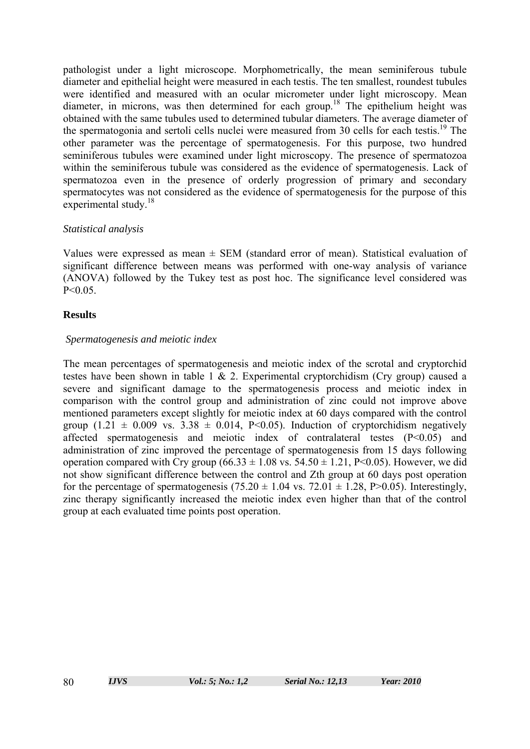pathologist under a light microscope. Morphometrically, the mean seminiferous tubule diameter and epithelial height were measured in each testis. The ten smallest, roundest tubules were identified and measured with an ocular micrometer under light microscopy. Mean diameter, in microns, was then determined for each group.18 The epithelium height was obtained with the same tubules used to determined tubular diameters. The average diameter of the spermatogonia and sertoli cells nuclei were measured from 30 cells for each testis.<sup>19</sup> The other parameter was the percentage of spermatogenesis. For this purpose, two hundred seminiferous tubules were examined under light microscopy. The presence of spermatozoa within the seminiferous tubule was considered as the evidence of spermatogenesis. Lack of spermatozoa even in the presence of orderly progression of primary and secondary spermatocytes was not considered as the evidence of spermatogenesis for the purpose of this experimental study.<sup>18</sup>

# *Statistical analysis*

Values were expressed as mean  $\pm$  SEM (standard error of mean). Statistical evaluation of significant difference between means was performed with one-way analysis of variance (ANOVA) followed by the Tukey test as post hoc. The significance level considered was  $P < 0.05$ .

# **Results**

# *Spermatogenesis and meiotic index*

The mean percentages of spermatogenesis and meiotic index of the scrotal and cryptorchid testes have been shown in table 1 & 2. Experimental cryptorchidism (Cry group) caused a severe and significant damage to the spermatogenesis process and meiotic index in comparison with the control group and administration of zinc could not improve above mentioned parameters except slightly for meiotic index at 60 days compared with the control group (1.21  $\pm$  0.009 vs. 3.38  $\pm$  0.014, P<0.05). Induction of cryptorchidism negatively affected spermatogenesis and meiotic index of contralateral testes (P<0.05) and administration of zinc improved the percentage of spermatogenesis from 15 days following operation compared with Cry group  $(66.33 \pm 1.08 \text{ vs. } 54.50 \pm 1.21, P<0.05)$ . However, we did not show significant difference between the control and Zth group at 60 days post operation for the percentage of spermatogenesis (75.20  $\pm$  1.04 vs. 72.01  $\pm$  1.28, P>0.05). Interestingly, zinc therapy significantly increased the meiotic index even higher than that of the control group at each evaluated time points post operation.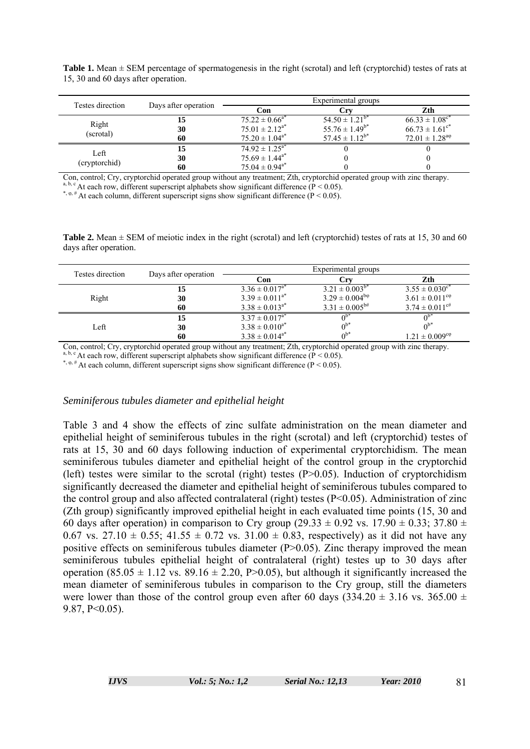**Table 1.** Mean ± SEM percentage of spermatogenesis in the right (scrotal) and left (cryptorchid) testes of rats at 15, 30 and 60 days after operation.

| Testes direction      | Days after operation | Experimental groups            |                       |                                |  |
|-----------------------|----------------------|--------------------------------|-----------------------|--------------------------------|--|
|                       |                      | Con                            | €rν                   | Zth                            |  |
|                       | 15                   | $75.22 \pm 0.66^{a*}$          | $54.50 \pm 1.21^{b*}$ | $66.33 \pm 1.08$ <sup>c*</sup> |  |
| Right<br>(scrotal)    | 30                   | $75.01 \pm 2.12^{a*}$          | $55.76 \pm 1.49^{b*}$ | $66.73 \pm 1.61$ <sup>c*</sup> |  |
|                       | 60                   | $75.20 \pm 1.04^{a*}$          | $57.45 \pm 1.12^{b*}$ | $72.01 \pm 1.28^{a\phi}$       |  |
| Left<br>(cryptorchid) | 15                   | $74.92 \pm 1.25^{a*}$          |                       |                                |  |
|                       | 30                   | $75.69 \pm 1.44^{\mathrm{a*}}$ |                       |                                |  |
|                       | 60                   | $75.04 \pm 0.94$ <sup>a*</sup> |                       |                                |  |

Con, control; Cry, cryptorchid operated group without any treatment; Zth, cryptorchid operated group with zinc therapy.  $\textdegree$  At each row, different superscript alphabets show significant difference (P < 0.05).

\*,  $\varphi$ , # At each column, different superscript signs show significant difference (P < 0.05).

**Table 2.** Mean  $\pm$  SEM of meiotic index in the right (scrotal) and left (cryptorchid) testes of rats at 15, 30 and 60 days after operation.

| Testes direction | Days after operation | Experimental groups   |                             |                                |
|------------------|----------------------|-----------------------|-----------------------------|--------------------------------|
|                  |                      | Con                   | ∴rv                         | Zth                            |
|                  | 15                   | $3.36 \pm 0.017^{a*}$ | $3.21 \pm 0.003^{b*}$       | $3.55 \pm 0.030$ <sup>c*</sup> |
| Right            | 30                   | $3.39 \pm 0.011^{a*}$ | $3.29 \pm 0.004^{b\varphi}$ | $3.61 \pm 0.011^{\text{cp}}$   |
|                  | 60                   | $3.38 \pm 0.013^{a*}$ | $3.31 \pm 0.005^{b#}$       | $3.74 \pm 0.011$ <sup>c#</sup> |
| Left             | 15                   | $3.37 \pm 0.017^{a*}$ | $0^{b*}$                    |                                |
|                  | 30                   | $3.38 \pm 0.010^{a*}$ | $0^{b*}$                    |                                |
|                  | 60                   | $3.38 \pm 0.014^{a*}$ | $0^{b*}$                    | $1.21 \pm 0.009$ <sup>co</sup> |

Con, control; Cry, cryptorchid operated group without any treatment; Zth, cryptorchid operated group with zinc therapy. <sup>a, b, c</sup> At each row, different superscript alphabets show significant difference ( $\dot{P}$  < 0.05).

\*,  $\varphi$ , # At each column, different superscript signs show significant difference (P < 0.05).

#### *Seminiferous tubules diameter and epithelial height*

Table 3 and 4 show the effects of zinc sulfate administration on the mean diameter and epithelial height of seminiferous tubules in the right (scrotal) and left (cryptorchid) testes of rats at 15, 30 and 60 days following induction of experimental cryptorchidism. The mean seminiferous tubules diameter and epithelial height of the control group in the cryptorchid (left) testes were similar to the scrotal (right) testes  $(P>0.05)$ . Induction of cryptorchidism significantly decreased the diameter and epithelial height of seminiferous tubules compared to the control group and also affected contralateral (right) testes (P<0.05). Administration of zinc (Zth group) significantly improved epithelial height in each evaluated time points (15, 30 and 60 days after operation) in comparison to Cry group (29.33  $\pm$  0.92 vs. 17.90  $\pm$  0.33; 37.80  $\pm$ 0.67 vs. 27.10  $\pm$  0.55; 41.55  $\pm$  0.72 vs. 31.00  $\pm$  0.83, respectively) as it did not have any positive effects on seminiferous tubules diameter (P>0.05). Zinc therapy improved the mean seminiferous tubules epithelial height of contralateral (right) testes up to 30 days after operation  $(85.05 \pm 1.12 \text{ vs. } 89.16 \pm 2.20, P>0.05)$ , but although it significantly increased the mean diameter of seminiferous tubules in comparison to the Cry group, still the diameters were lower than those of the control group even after 60 days (334.20  $\pm$  3.16 vs. 365.00  $\pm$ 9.87, P<0.05).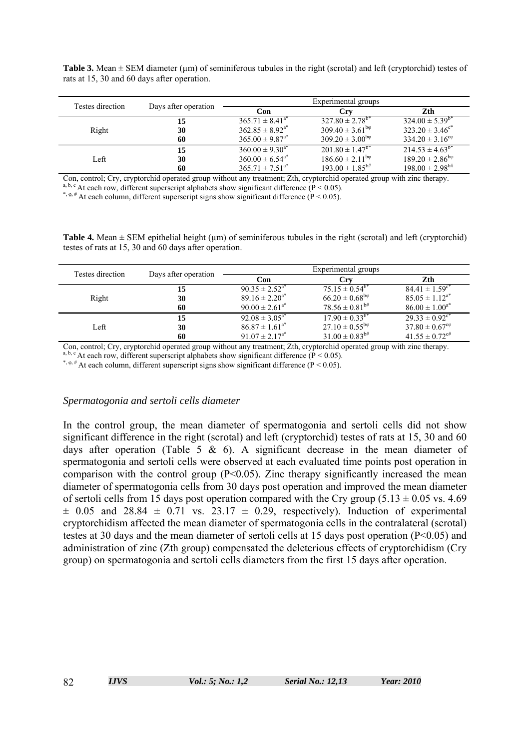**Table 3.** Mean  $\pm$  SEM diameter ( $\mu$ m) of seminiferous tubules in the right (scrotal) and left (cryptorchid) testes of rats at 15, 30 and 60 days after operation.

| Testes direction | Days after operation | Experimental groups             |                                 |                                 |
|------------------|----------------------|---------------------------------|---------------------------------|---------------------------------|
|                  |                      | Con                             | Crv                             | Zth                             |
|                  | 15                   | $365.71 \pm 8.41^{a*}$          | $327.80 \pm 2.78$ <sup>b*</sup> | $324.00 \pm 5.39^{b*}$          |
| Right            | 30                   | $362.85 \pm 8.92^{a*}$          | $309.40 \pm 3.61^{b}$           | $323.20 \pm 3.46^{\circ*}$      |
|                  | 60                   | $365.00 \pm 9.87^{a*}$          | $309.20 \pm 3.00^{b}$           | $334.20 \pm 3.16^{\text{cp}}$   |
|                  | 15                   | $360.00 \pm 9.30^{a*}$          | $201.80 \pm 1.47^{b*}$          | $214.53 \pm 4.63^{b*}$          |
| Left             | 30                   | $360.00 \pm 6.54$ <sup>a*</sup> | $186.60 \pm 2.11^{b}$           | $189.20 \pm 2.86^{b}$           |
|                  | 60                   | $365.71 \pm 7.51^{a*}$          | $193.00 \pm 1.85^{b#}$          | $198.00 \pm 2.98$ <sup>b#</sup> |

Con, control; Cry, cryptorchid operated group without any treatment; Zth, cryptorchid operated group with zinc therapy. <sup>a, b, c</sup> At each row, different superscript alphabets show significant difference ( $P < 0.05$ ).

\*,  $\varphi$ ,  $\#$  At each column, different superscript signs show significant difference (P < 0.05).

**Table 4.** Mean  $\pm$  SEM epithelial height ( $\mu$ m) of seminiferous tubules in the right (scrotal) and left (cryptorchid) testes of rats at 15, 30 and 60 days after operation.

| Testes direction | Days after operation | Experimental groups               |                          |                                |
|------------------|----------------------|-----------------------------------|--------------------------|--------------------------------|
|                  |                      | Con                               | Crv                      | Zth.                           |
|                  | 15                   | $90.35 \pm 2.52^{\overline{a^*}}$ | $75.15 \pm 0.54^{b*}$    | $84.41 \pm 1.59$ <sup>c*</sup> |
| Right            | 30                   | $89.16 \pm 2.20^{a*}$             | $66.20 \pm 0.68^{b\phi}$ | $85.05 \pm 1.12^{a*}$          |
|                  | 60                   | $90.00 \pm 2.61^{a*}$             | $78.56 \pm 0.81^{b#}$    | $86.00 \pm 1.00^{a*}$          |
|                  | 15                   | $92.08 \pm 3.05^{a*}$             | $17.90 \pm 0.33^{b*}$    | $29.33 \pm 0.92$ <sup>c*</sup> |
| Left             | 30                   | $86.87 \pm 1.61^{a*}$             | $27.10 \pm 0.55^{b\phi}$ | $37.80 \pm 0.67$ <sup>co</sup> |
|                  | 60                   | $91.07 \pm 2.17^{a*}$             | $31.00 \pm 0.83^{b#}$    | $41.55 \pm 0.72$ <sup>c#</sup> |

Con, control; Cry, cryptorchid operated group without any treatment; Zth, cryptorchid operated group with zinc therapy. <sup>a, b, c</sup> At each row, different superscript alphabets show significant difference ( $\dot{P}$  < 0.05).

\*,  $\varphi$ , # At each column, different superscript signs show significant difference (P < 0.05).

#### *Spermatogonia and sertoli cells diameter*

In the control group, the mean diameter of spermatogonia and sertoli cells did not show significant difference in the right (scrotal) and left (cryptorchid) testes of rats at 15, 30 and 60 days after operation (Table 5  $\&$  6). A significant decrease in the mean diameter of spermatogonia and sertoli cells were observed at each evaluated time points post operation in comparison with the control group  $(P<0.05)$ . Zinc therapy significantly increased the mean diameter of spermatogonia cells from 30 days post operation and improved the mean diameter of sertoli cells from 15 days post operation compared with the Cry group  $(5.13 \pm 0.05 \text{ vs. } 4.69)$  $\pm$  0.05 and 28.84  $\pm$  0.71 vs. 23.17  $\pm$  0.29, respectively). Induction of experimental cryptorchidism affected the mean diameter of spermatogonia cells in the contralateral (scrotal) testes at 30 days and the mean diameter of sertoli cells at 15 days post operation (P<0.05) and administration of zinc (Zth group) compensated the deleterious effects of cryptorchidism (Cry group) on spermatogonia and sertoli cells diameters from the first 15 days after operation.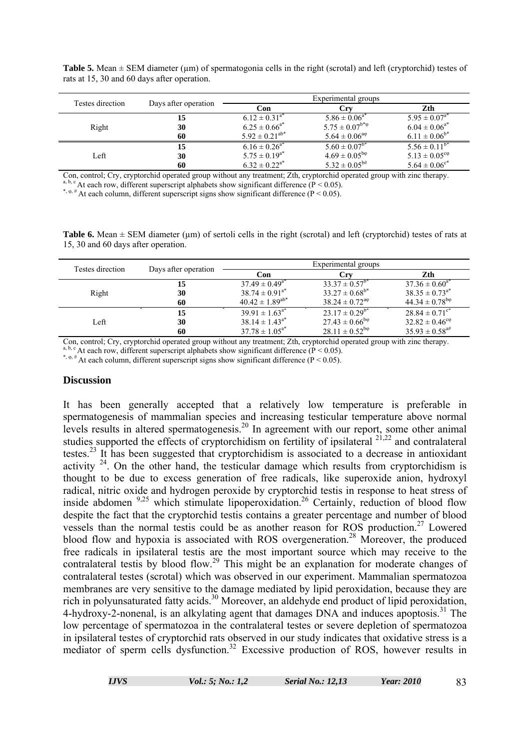**Table 5.** Mean  $\pm$  SEM diameter ( $\mu$ m) of spermatogonia cells in the right (scrotal) and left (cryptorchid) testes of rats at 15, 30 and 60 days after operation.

| Testes direction | Days after operation | Experimental groups           |                         |                               |
|------------------|----------------------|-------------------------------|-------------------------|-------------------------------|
|                  |                      | Con                           | Crv                     | Zth                           |
|                  | 15                   | $6.12 \pm 0.31$ <sup>a*</sup> | $5.86 \pm 0.06^{a*}$    | $5.95 \pm 0.07^{a*}$          |
| Right            | 30                   | $6.25 \pm 0.66^{a*}$          | $5.75 \pm 0.07^{b*}\$   | $6.04 \pm 0.06^{a*}$          |
|                  | 60                   | $5.92 \pm 0.21^{ab*}$         | $5.64 \pm 0.06^{a\phi}$ | $6.11 \pm 0.06^{b*}$          |
|                  | 15                   | $6.16 \pm 0.26$ <sup>a*</sup> | $5.60 \pm 0.07^{b*}$    | $5.56 \pm 0.11^{b*}$          |
| Left             | 30                   | $5.75 \pm 0.19^{a*}$          | $4.69 \pm 0.05^{b}$     | $5.13 \pm 0.05^{\text{cp}}$   |
|                  | 60                   | $6.32 \pm 0.22^{a*}$          | $5.32 \pm 0.05^{b#}$    | $5.64 \pm 0.06$ <sup>c*</sup> |

Con, control; Cry, cryptorchid operated group without any treatment; Zth, cryptorchid operated group with zinc therapy. a, b, c At each row, different superscript alphabets show significant difference ( $P < 0.05$ ).

\*,  $\varphi$ , # At each column, different superscript signs show significant difference (P < 0.05).

**Table 6.** Mean  $\pm$  SEM diameter ( $\mu$ m) of sertoli cells in the right (scrotal) and left (cryptorchid) testes of rats at 15, 30 and 60 days after operation.

| Testes direction | Days after operation | Experimental groups    |                             |                                |
|------------------|----------------------|------------------------|-----------------------------|--------------------------------|
|                  |                      | Con                    | Crv                         | Zth                            |
|                  | 15                   | $37.49 \pm 0.49^{a*}$  | $33.37 \pm 0.57^{b*}$       | $37.36 \pm 0.60^{a*}$          |
| Right            | 30                   | $38.74 \pm 0.91^{a*}$  | $33.27 \pm 0.68^{b*}$       | $38.35 \pm 0.73^{a*}$          |
|                  | 60                   | $40.42 \pm 1.89^{ab*}$ | $38.24 \pm 0.72^{a\varphi}$ | $44.34 \pm 0.78^{b\varphi}$    |
|                  | 15                   | $39.91 \pm 1.63^{a*}$  | $23.17 \pm 0.29^{b*}$       | $28.84 \pm 0.71$ <sup>c*</sup> |
| Left             | 30                   | $38.14 \pm 1.43^{a*}$  | $27.43 \pm 0.66^{b\phi}$    | $32.82 \pm 0.46^{\text{cp}}$   |
|                  | 60                   | $37.78 \pm 1.05^{a*}$  | $28.11 \pm 0.52^{b\varphi}$ | $35.93 \pm 0.58$ <sup>a#</sup> |

Con, control; Cry, cryptorchid operated group without any treatment; Zth, cryptorchid operated group with zinc therapy.

<sup>a, b, c</sup> At each row, different superscript alphabets show significant difference ( $\overline{P}$  < 0.05).

\*,  $\varphi$ , # At each column, different superscript signs show significant difference (P < 0.05).

#### **Discussion**

It has been generally accepted that a relatively low temperature is preferable in spermatogenesis of mammalian species and increasing testicular temperature above normal levels results in altered spermatogenesis.20 In agreement with our report, some other animal studies supported the effects of cryptorchidism on fertility of ipsilateral  $2^{1,22}$  and contralateral testes.<sup>23</sup> It has been suggested that cryptorchidism is associated to a decrease in antioxidant activity  $24$ . On the other hand, the testicular damage which results from cryptorchidism is thought to be due to excess generation of free radicals, like superoxide anion, hydroxyl radical, nitric oxide and hydrogen peroxide by cryptorchid testis in response to heat stress of inside abdomen <sup>9,25</sup> which stimulate lipoperoxidation.<sup>26</sup> Certainly, reduction of blood flow despite the fact that the cryptorchid testis contains a greater percentage and number of blood vessels than the normal testis could be as another reason for ROS production.<sup>27</sup> Lowered blood flow and hypoxia is associated with ROS overgeneration.<sup>28</sup> Moreover, the produced free radicals in ipsilateral testis are the most important source which may receive to the contralateral testis by blood flow.<sup>29</sup> This might be an explanation for moderate changes of contralateral testes (scrotal) which was observed in our experiment. Mammalian spermatozoa membranes are very sensitive to the damage mediated by lipid peroxidation, because they are rich in polyunsaturated fatty acids.<sup>30</sup> Moreover, an aldehyde end product of lipid peroxidation, 4-hydroxy-2-nonenal, is an alkylating agent that damages DNA and induces apoptosis.<sup>31</sup> The low percentage of spermatozoa in the contralateral testes or severe depletion of spermatozoa in ipsilateral testes of cryptorchid rats observed in our study indicates that oxidative stress is a mediator of sperm cells dysfunction.<sup>32</sup> Excessive production of ROS, however results in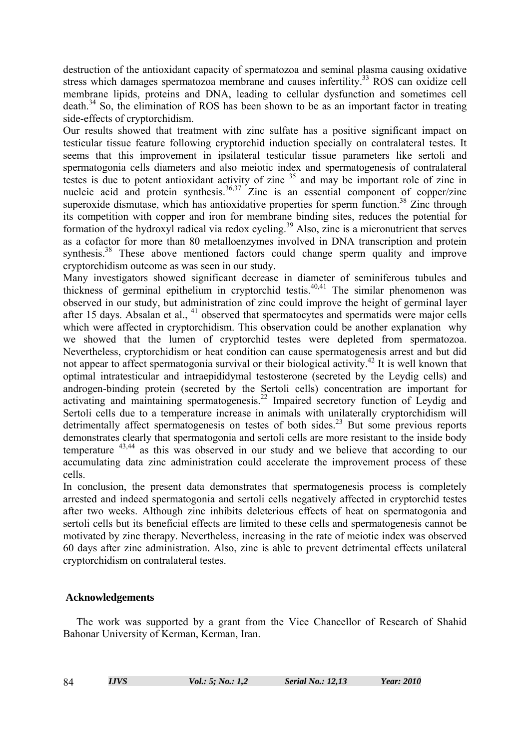destruction of the antioxidant capacity of spermatozoa and seminal plasma causing oxidative stress which damages spermatozoa membrane and causes infertility.<sup>33</sup> ROS can oxidize cell membrane lipids, proteins and DNA, leading to cellular dysfunction and sometimes cell  $death.<sup>34</sup>$  So, the elimination of ROS has been shown to be as an important factor in treating side-effects of cryptorchidism.

Our results showed that treatment with zinc sulfate has a positive significant impact on testicular tissue feature following cryptorchid induction specially on contralateral testes. It seems that this improvement in ipsilateral testicular tissue parameters like sertoli and spermatogonia cells diameters and also meiotic index and spermatogenesis of contralateral testes is due to potent antioxidant activity of zinc <sup>35</sup> and may be important role of zinc in nucleic acid and protein synthesis.<sup>36,37</sup> Zinc is an essential component of copper/zinc superoxide dismutase, which has antioxidative properties for sperm function.<sup>38</sup> Zinc through its competition with copper and iron for membrane binding sites, reduces the potential for formation of the hydroxyl radical via redox cycling.<sup>39</sup> Also, zinc is a micronutrient that serves as a cofactor for more than 80 metalloenzymes involved in DNA transcription and protein synthesis.<sup>38</sup> These above mentioned factors could change sperm quality and improve cryptorchidism outcome as was seen in our study.

Many investigators showed significant decrease in diameter of seminiferous tubules and thickness of germinal epithelium in cryptorchid testis.40,41 The similar phenomenon was observed in our study, but administration of zinc could improve the height of germinal layer after 15 days. Absalan et al.,  $41$  observed that spermatocytes and spermatids were major cells which were affected in cryptorchidism. This observation could be another explanation why we showed that the lumen of cryptorchid testes were depleted from spermatozoa. Nevertheless, cryptorchidism or heat condition can cause spermatogenesis arrest and but did not appear to affect spermatogonia survival or their biological activity.42 It is well known that optimal intratesticular and intraepididymal testosterone (secreted by the Leydig cells) and androgen-binding protein (secreted by the Sertoli cells) concentration are important for activating and maintaining spermatogenesis.<sup>22</sup> Impaired secretory function of Leydig and Sertoli cells due to a temperature increase in animals with unilaterally cryptorchidism will detrimentally affect spermatogenesis on testes of both sides.<sup>23</sup> But some previous reports demonstrates clearly that spermatogonia and sertoli cells are more resistant to the inside body temperature 43,44 as this was observed in our study and we believe that according to our accumulating data zinc administration could accelerate the improvement process of these cells.

In conclusion, the present data demonstrates that spermatogenesis process is completely arrested and indeed spermatogonia and sertoli cells negatively affected in cryptorchid testes after two weeks. Although zinc inhibits deleterious effects of heat on spermatogonia and sertoli cells but its beneficial effects are limited to these cells and spermatogenesis cannot be motivated by zinc therapy. Nevertheless, increasing in the rate of meiotic index was observed 60 days after zinc administration. Also, zinc is able to prevent detrimental effects unilateral cryptorchidism on contralateral testes.

# **Acknowledgements**

 The work was supported by a grant from the Vice Chancellor of Research of Shahid Bahonar University of Kerman, Kerman, Iran.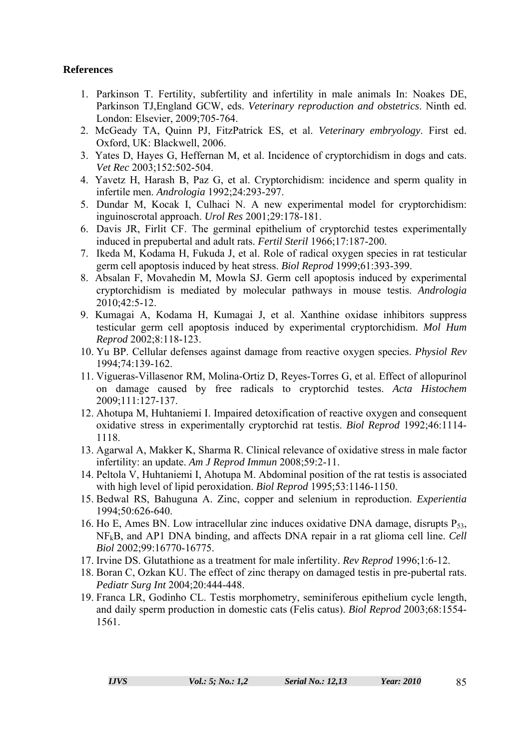# **References**

- 1. Parkinson T. Fertility, subfertility and infertility in male animals In: Noakes DE, Parkinson TJ,England GCW, eds. *Veterinary reproduction and obstetrics*. Ninth ed. London: Elsevier, 2009;705-764.
- 2. McGeady TA, Quinn PJ, FitzPatrick ES, et al. *Veterinary embryology*. First ed. Oxford, UK: Blackwell, 2006.
- 3. Yates D, Hayes G, Heffernan M, et al. Incidence of cryptorchidism in dogs and cats. *Vet Rec* 2003;152:502-504.
- 4. Yavetz H, Harash B, Paz G, et al. Cryptorchidism: incidence and sperm quality in infertile men. *Andrologia* 1992;24:293-297.
- 5. Dundar M, Kocak I, Culhaci N. A new experimental model for cryptorchidism: inguinoscrotal approach. *Urol Res* 2001;29:178-181.
- 6. Davis JR, Firlit CF. The germinal epithelium of cryptorchid testes experimentally induced in prepubertal and adult rats. *Fertil Steril* 1966;17:187-200.
- 7. Ikeda M, Kodama H, Fukuda J, et al. Role of radical oxygen species in rat testicular germ cell apoptosis induced by heat stress. *Biol Reprod* 1999;61:393-399.
- 8. Absalan F, Movahedin M, Mowla SJ. Germ cell apoptosis induced by experimental cryptorchidism is mediated by molecular pathways in mouse testis. *Andrologia* 2010;42:5-12.
- 9. Kumagai A, Kodama H, Kumagai J, et al. Xanthine oxidase inhibitors suppress testicular germ cell apoptosis induced by experimental cryptorchidism. *Mol Hum Reprod* 2002;8:118-123.
- 10. Yu BP. Cellular defenses against damage from reactive oxygen species. *Physiol Rev* 1994;74:139-162.
- 11. Vigueras-Villasenor RM, Molina-Ortiz D, Reyes-Torres G, et al. Effect of allopurinol on damage caused by free radicals to cryptorchid testes. *Acta Histochem* 2009;111:127-137.
- 12. Ahotupa M, Huhtaniemi I. Impaired detoxification of reactive oxygen and consequent oxidative stress in experimentally cryptorchid rat testis. *Biol Reprod* 1992;46:1114- 1118.
- 13. Agarwal A, Makker K, Sharma R. Clinical relevance of oxidative stress in male factor infertility: an update. *Am J Reprod Immun* 2008;59:2-11.
- 14. Peltola V, Huhtaniemi I, Ahotupa M. Abdominal position of the rat testis is associated with high level of lipid peroxidation. *Biol Reprod* 1995;53:1146-1150.
- 15. Bedwal RS, Bahuguna A. Zinc, copper and selenium in reproduction. *Experientia* 1994;50:626-640.
- 16. Ho E, Ames BN. Low intracellular zinc induces oxidative DNA damage, disrupts  $P_{53}$ , NFkB, and AP1 DNA binding, and affects DNA repair in a rat glioma cell line. *Cell Biol* 2002;99:16770-16775.
- 17. Irvine DS. Glutathione as a treatment for male infertility. *Rev Reprod* 1996;1:6-12.
- 18. Boran C, Ozkan KU. The effect of zinc therapy on damaged testis in pre-pubertal rats. *Pediatr Surg Int* 2004;20:444-448.
- 19. Franca LR, Godinho CL. Testis morphometry, seminiferous epithelium cycle length, and daily sperm production in domestic cats (Felis catus). *Biol Reprod* 2003;68:1554- 1561.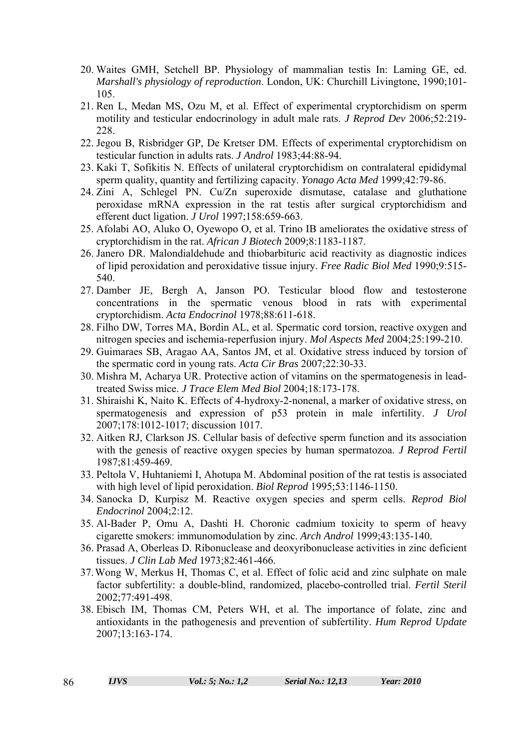- 20. Waites GMH, Setchell BP. Physiology of mammalian testis In: Laming GE, ed. *Marshall's physiology of reproduction*. London, UK: Churchill Livingtone, 1990;101- 105.
- 21. Ren L, Medan MS, Ozu M, et al. Effect of experimental cryptorchidism on sperm motility and testicular endocrinology in adult male rats. *J Reprod Dev* 2006;52:219- 228.
- 22. Jegou B, Risbridger GP, De Kretser DM. Effects of experimental cryptorchidism on testicular function in adults rats. *J Androl* 1983;44:88-94.
- 23. Kaki T, Sofikitis N. Effects of unilateral cryptorchidism on contralateral epididymal sperm quality, quantity and fertilizing capacity. *Yonago Acta Med* 1999;42:79-86.
- 24. Zini A, Schlegel PN. Cu/Zn superoxide dismutase, catalase and gluthatione peroxidase mRNA expression in the rat testis after surgical cryptorchidism and efferent duct ligation. *J Urol* 1997;158:659-663.
- 25. Afolabi AO, Aluko O, Oyewopo O, et al. Trino IB ameliorates the oxidative stress of cryptorchidism in the rat. *African J Biotech* 2009;8:1183-1187.
- 26. Janero DR. Malondialdehude and thiobarbituric acid reactivity as diagnostic indices of lipid peroxidation and peroxidative tissue injury. *Free Radic Biol Med* 1990;9:515- 540.
- 27. Damber JE, Bergh A, Janson PO. Testicular blood flow and testosterone concentrations in the spermatic venous blood in rats with experimental cryptorchidism. *Acta Endocrinol* 1978;88:611-618.
- 28. Filho DW, Torres MA, Bordin AL, et al. Spermatic cord torsion, reactive oxygen and nitrogen species and ischemia-reperfusion injury. *Mol Aspects Med* 2004;25:199-210.
- 29. Guimaraes SB, Aragao AA, Santos JM, et al. Oxidative stress induced by torsion of the spermatic cord in young rats. *Acta Cir Bras* 2007;22:30-33.
- 30. Mishra M, Acharya UR. Protective action of vitamins on the spermatogenesis in leadtreated Swiss mice. *J Trace Elem Med Biol* 2004;18:173-178.
- 31. Shiraishi K, Naito K. Effects of 4-hydroxy-2-nonenal, a marker of oxidative stress, on spermatogenesis and expression of p53 protein in male infertility. *J Urol* 2007;178:1012-1017; discussion 1017.
- 32. Aitken RJ, Clarkson JS. Cellular basis of defective sperm function and its association with the genesis of reactive oxygen species by human spermatozoa. *J Reprod Fertil* 1987;81:459-469.
- 33. Peltola V, Huhtaniemi I, Ahotupa M. Abdominal position of the rat testis is associated with high level of lipid peroxidation. *Biol Reprod* 1995;53:1146-1150.
- 34. Sanocka D, Kurpisz M. Reactive oxygen species and sperm cells. *Reprod Biol Endocrinol* 2004;2:12.
- 35. Al-Bader P, Omu A, Dashti H. Choronic cadmium toxicity to sperm of heavy cigarette smokers: immunomodulation by zinc. *Arch Androl* 1999;43:135-140.
- 36. Prasad A, Oberleas D. Ribonuclease and deoxyribonuclease activities in zinc deficient tissues. *J Clin Lab Med* 1973;82:461-466.
- 37.Wong W, Merkus H, Thomas C, et al. Effect of folic acid and zinc sulphate on male factor subfertility: a double-blind, randomized, placebo-controlled trial. *Fertil Steril* 2002;77:491-498.
- 38. Ebisch IM, Thomas CM, Peters WH, et al. The importance of folate, zinc and antioxidants in the pathogenesis and prevention of subfertility. *Hum Reprod Update* 2007;13:163-174.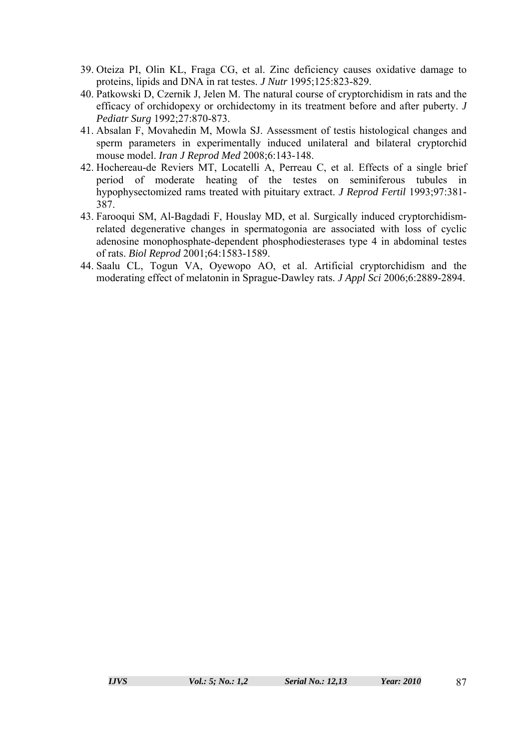- 39. Oteiza PI, Olin KL, Fraga CG, et al. Zinc deficiency causes oxidative damage to proteins, lipids and DNA in rat testes. *J Nutr* 1995;125:823-829.
- 40. Patkowski D, Czernik J, Jelen M. The natural course of cryptorchidism in rats and the efficacy of orchidopexy or orchidectomy in its treatment before and after puberty. *J Pediatr Surg* 1992;27:870-873.
- 41. Absalan F, Movahedin M, Mowla SJ. Assessment of testis histological changes and sperm parameters in experimentally induced unilateral and bilateral cryptorchid mouse model. *Iran J Reprod Med* 2008;6:143-148.
- 42. Hochereau-de Reviers MT, Locatelli A, Perreau C, et al. Effects of a single brief period of moderate heating of the testes on seminiferous tubules in hypophysectomized rams treated with pituitary extract. *J Reprod Fertil* 1993;97:381- 387.
- 43. Farooqui SM, Al-Bagdadi F, Houslay MD, et al. Surgically induced cryptorchidismrelated degenerative changes in spermatogonia are associated with loss of cyclic adenosine monophosphate-dependent phosphodiesterases type 4 in abdominal testes of rats. *Biol Reprod* 2001;64:1583-1589.
- 44. Saalu CL, Togun VA, Oyewopo AO, et al. Artificial cryptorchidism and the moderating effect of melatonin in Sprague-Dawley rats. *J Appl Sci* 2006;6:2889-2894.